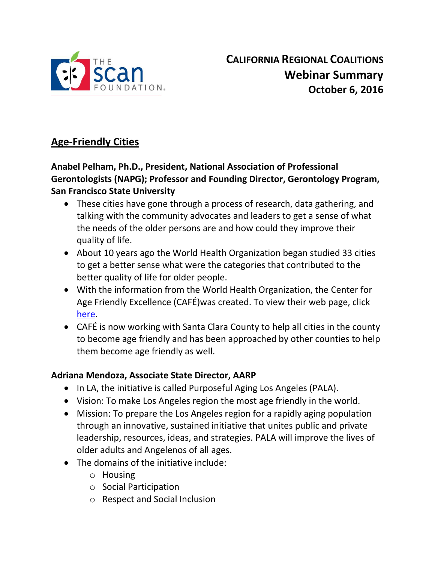

# **Age-Friendly Cities**

# **Anabel Pelham, Ph.D., President, National Association of Professional Gerontologists (NAPG); Professor and Founding Director, Gerontology Program, San Francisco State University**

- These cities have gone through a process of research, data gathering, and talking with the community advocates and leaders to get a sense of what the needs of the older persons are and how could they improve their quality of life.
- About 10 years ago the World Health Organization began studied 33 cities to get a better sense what were the categories that contributed to the better quality of life for older people.
- With the information from the World Health Organization, the Center for Age Friendly Excellence (CAFÉ)was created. To view their web page, click [here.](http://cfafe.org/)
- CAFÉ is now working with Santa Clara County to help all cities in the county to become age friendly and has been approached by other counties to help them become age friendly as well.

# **Adriana Mendoza, Associate State Director, AARP**

- In LA, the initiative is called Purposeful Aging Los Angeles (PALA).
- Vision: To make Los Angeles region the most age friendly in the world.
- Mission: To prepare the Los Angeles region for a rapidly aging population through an innovative, sustained initiative that unites public and private leadership, resources, ideas, and strategies. PALA will improve the lives of older adults and Angelenos of all ages.
- The domains of the initiative include:
	- o Housing
	- o Social Participation
	- o Respect and Social Inclusion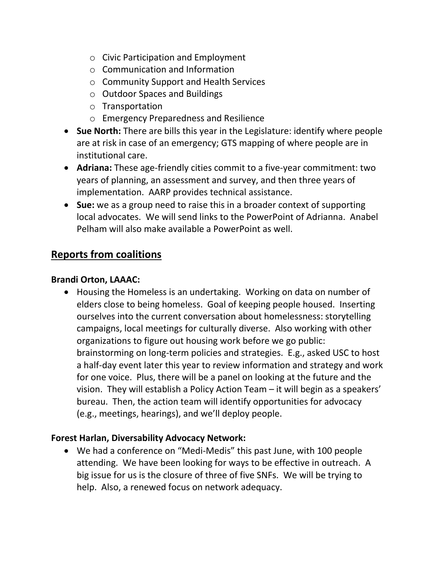- o Civic Participation and Employment
- o Communication and Information
- o Community Support and Health Services
- o Outdoor Spaces and Buildings
- o Transportation
- o Emergency Preparedness and Resilience
- **Sue North:** There are bills this year in the Legislature: identify where people are at risk in case of an emergency; GTS mapping of where people are in institutional care.
- **Adriana:** These age-friendly cities commit to a five-year commitment: two years of planning, an assessment and survey, and then three years of implementation. AARP provides technical assistance.
- **Sue:** we as a group need to raise this in a broader context of supporting local advocates. We will send links to the PowerPoint of Adrianna. Anabel Pelham will also make available a PowerPoint as well.

# **Reports from coalitions**

## **Brandi Orton, LAAAC:**

 Housing the Homeless is an undertaking. Working on data on number of elders close to being homeless. Goal of keeping people housed. Inserting ourselves into the current conversation about homelessness: storytelling campaigns, local meetings for culturally diverse. Also working with other organizations to figure out housing work before we go public: brainstorming on long-term policies and strategies. E.g., asked USC to host a half-day event later this year to review information and strategy and work for one voice. Plus, there will be a panel on looking at the future and the vision. They will establish a Policy Action Team – it will begin as a speakers' bureau. Then, the action team will identify opportunities for advocacy (e.g., meetings, hearings), and we'll deploy people.

# **Forest Harlan, Diversability Advocacy Network:**

 We had a conference on "Medi-Medis" this past June, with 100 people attending. We have been looking for ways to be effective in outreach. A big issue for us is the closure of three of five SNFs. We will be trying to help. Also, a renewed focus on network adequacy.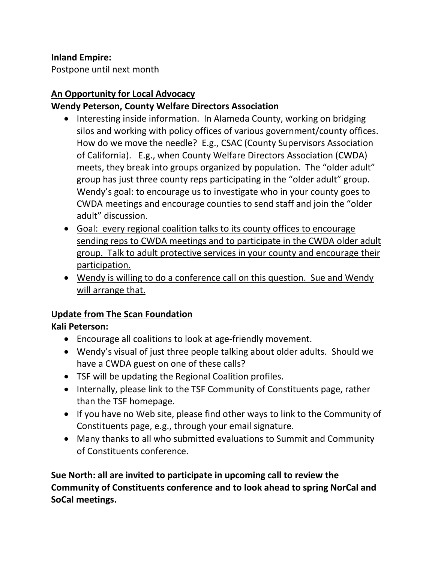## **Inland Empire:**

Postpone until next month

# **An Opportunity for Local Advocacy**

# **Wendy Peterson, County Welfare Directors Association**

- Interesting inside information. In Alameda County, working on bridging silos and working with policy offices of various government/county offices. How do we move the needle? E.g., CSAC (County Supervisors Association of California). E.g., when County Welfare Directors Association (CWDA) meets, they break into groups organized by population. The "older adult" group has just three county reps participating in the "older adult" group. Wendy's goal: to encourage us to investigate who in your county goes to CWDA meetings and encourage counties to send staff and join the "older adult" discussion.
- Goal: every regional coalition talks to its county offices to encourage sending reps to CWDA meetings and to participate in the CWDA older adult group. Talk to adult protective services in your county and encourage their participation.
- Wendy is willing to do a conference call on this question. Sue and Wendy will arrange that.

# **Update from The Scan Foundation**

# **Kali Peterson:**

- Encourage all coalitions to look at age-friendly movement.
- Wendy's visual of just three people talking about older adults. Should we have a CWDA guest on one of these calls?
- TSF will be updating the Regional Coalition profiles.
- Internally, please link to the TSF Community of Constituents page, rather than the TSF homepage.
- If you have no Web site, please find other ways to link to the Community of Constituents page, e.g., through your email signature.
- Many thanks to all who submitted evaluations to Summit and Community of Constituents conference.

**Sue North: all are invited to participate in upcoming call to review the Community of Constituents conference and to look ahead to spring NorCal and SoCal meetings.**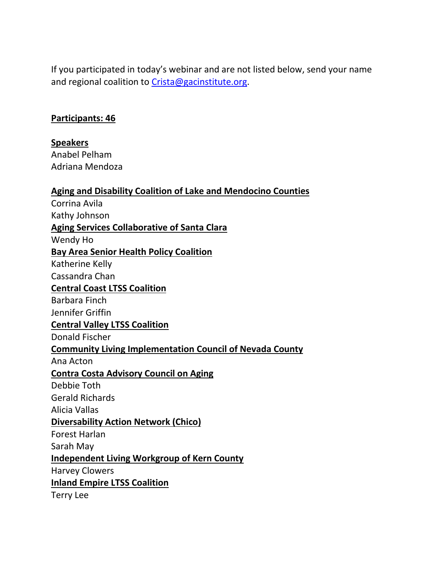If you participated in today's webinar and are not listed below, send your name and regional coalition to [Crista@gacinstitute.org.](mailto:Crista@gacinstitute.org)

#### **Participants: 46**

**Speakers**

Anabel Pelham Adriana Mendoza

| <b>Aging and Disability Coalition of Lake and Mendocino Counties</b> |  |
|----------------------------------------------------------------------|--|
| Corrina Avila                                                        |  |
|                                                                      |  |

Kathy Johnson

**Aging Services Collaborative of Santa Clara**

Wendy Ho

**Bay Area Senior Health Policy Coalition**

Katherine Kelly

Cassandra Chan

## **Central Coast LTSS Coalition**

Barbara Finch Jennifer Griffin

#### **Central Valley LTSS Coalition**

Donald Fischer

#### **Community Living Implementation Council of Nevada County**

Ana Acton

## **Contra Costa Advisory Council on Aging**

Debbie Toth

Gerald Richards

Alicia Vallas

#### **Diversability Action Network (Chico)**

Forest Harlan

Sarah May

## **Independent Living Workgroup of Kern County**

Harvey Clowers

**Inland Empire LTSS Coalition**

Terry Lee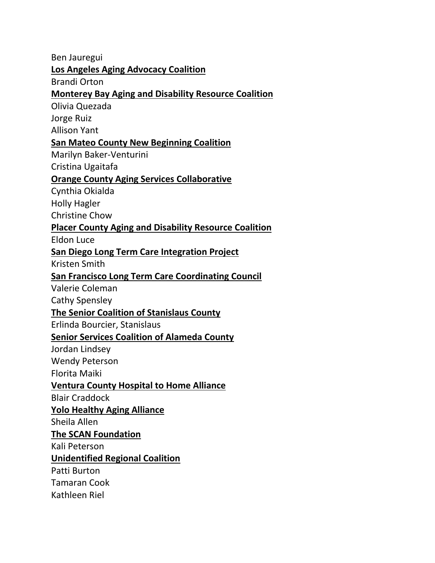Ben Jauregui **Los Angeles Aging Advocacy Coalition** Brandi Orton **Monterey Bay Aging and Disability Resource Coalition** Olivia Quezada Jorge Ruiz Allison Yant **San Mateo County New Beginning Coalition** Marilyn Baker-Venturini Cristina Ugaitafa **Orange County Aging Services Collaborative** Cynthia Okialda Holly Hagler Christine Chow **Placer County Aging and Disability Resource Coalition** Eldon Luce **San Diego Long Term Care Integration Project** Kristen Smith **San Francisco Long Term Care Coordinating Council** Valerie Coleman Cathy Spensley **The Senior Coalition of Stanislaus County** Erlinda Bourcier, Stanislaus **Senior Services Coalition of Alameda County** Jordan Lindsey Wendy Peterson Florita Maiki **Ventura County Hospital to Home Alliance** Blair Craddock **Yolo Healthy Aging Alliance** Sheila Allen **The SCAN Foundation** Kali Peterson **Unidentified Regional Coalition** Patti Burton Tamaran Cook Kathleen Riel